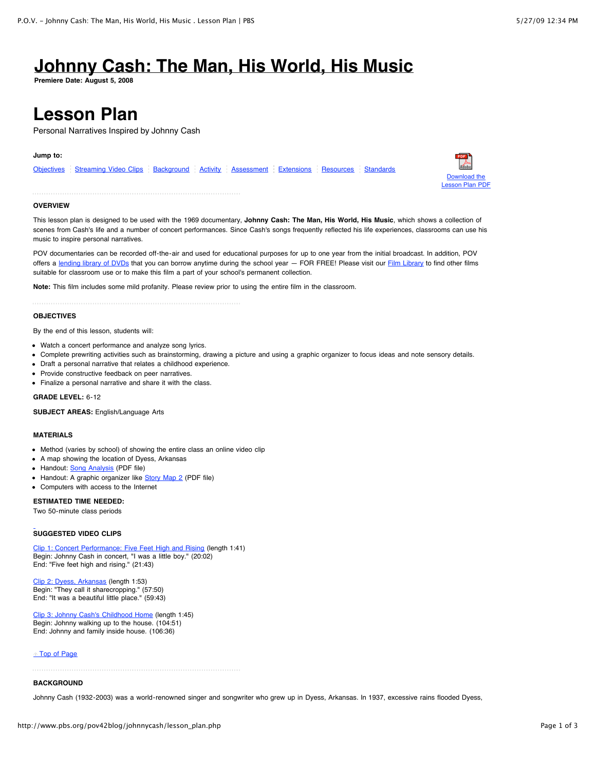# **[Johnny Cash: The Man, His World, His Music](http://www.pbs.org/pov42blog/johnnycash/)**

**Premiere Date: August 5, 2008**

# **Lesson Plan**

Personal Narratives Inspired by Johnny Cash

#### **Jump to:**

| Objectives Streaming Video Clips Background Activity Assessment Extensions Resources Standards |  |  |  |
|------------------------------------------------------------------------------------------------|--|--|--|
|                                                                                                |  |  |  |



#### **OVERVIEW**

This lesson plan is designed to be used with the 1969 documentary, **Johnny Cash: The Man, His World, His Music**, which shows a collection of scenes from Cash's life and a number of concert performances. Since Cash's songs frequently reflected his life experiences, classrooms can use his music to inspire personal narratives.

POV documentaries can be recorded off-the-air and used for educational purposes for up to one year from the initial broadcast. In addition, POV offers a [lending library of DVDs](http://www.amdoc.org/outreach_filmlibrary.php) that you can borrow anytime during the school year - FOR FREE! Please visit our [Film Library](http://www.amdoc.org/outreach_filmlibrary.php) to find other films suitable for classroom use or to make this film a part of your school's permanent collection.

**Note:** This film includes some mild profanity. Please review prior to using the entire film in the classroom.

# **OBJECTIVES**

By the end of this lesson, students will:

- Watch a concert performance and analyze song lyrics.
- Complete prewriting activities such as brainstorming, drawing a picture and using a graphic organizer to focus ideas and note sensory details.
- Draft a personal narrative that relates a childhood experience.
- Provide constructive feedback on peer narratives.
- Finalize a personal narrative and share it with the class.

#### **GRADE LEVEL:** 6-12

**SUBJECT AREAS:** English/Language Arts

#### **MATERIALS**

- Method (varies by school) of showing the entire class an online video clip
- A map showing the location of Dyess, Arkansas
- Handout: **[Song Analysis](http://www.pbs.org/pov42blog/pdf/johnnycash/pov_johnnycash_handout.pdf)** (PDF file)
- Handout: A graphic organizer like [Story Map 2](http://www.eduplace.com/graphicorganizer/pdf/storymap2_eng.pdf) (PDF file)
- Computers with access to the Internet

### **ESTIMATED TIME NEEDED:**

Two 50-minute class periods

# **SUGGESTED VIDEO CLIPS**

[Clip 1: Concert Performance: Five Feet High and Rising](http://www.pbs.org/pov42blog/johnnycash/video_classroom1.php) (length 1:41) Begin: Johnny Cash in concert, "I was a little boy." (20:02) End: "Five feet high and rising." (21:43)

[Clip 2: Dyess, Arkansas](http://www.pbs.org/pov42blog/johnnycash/video_classroom2.php) (length 1:53) Begin: "They call it sharecropping." (57:50) End: "It was a beautiful little place." (59:43)

[Clip 3: Johnny Cash's Childhood Home](http://www.pbs.org/pov42blog/johnnycash/video_classroom3.php) (length 1:45) Begin: Johnny walking up to the house. (104:51) End: Johnny and family inside house. (106:36)

#### **[Top of Page](http://www.pbs.org/pov42blog/johnnycash/lesson_plan.php#top)**

# **BACKGROUND**

Johnny Cash (1932-2003) was a world-renowned singer and songwriter who grew up in Dyess, Arkansas. In 1937, excessive rains flooded Dyess,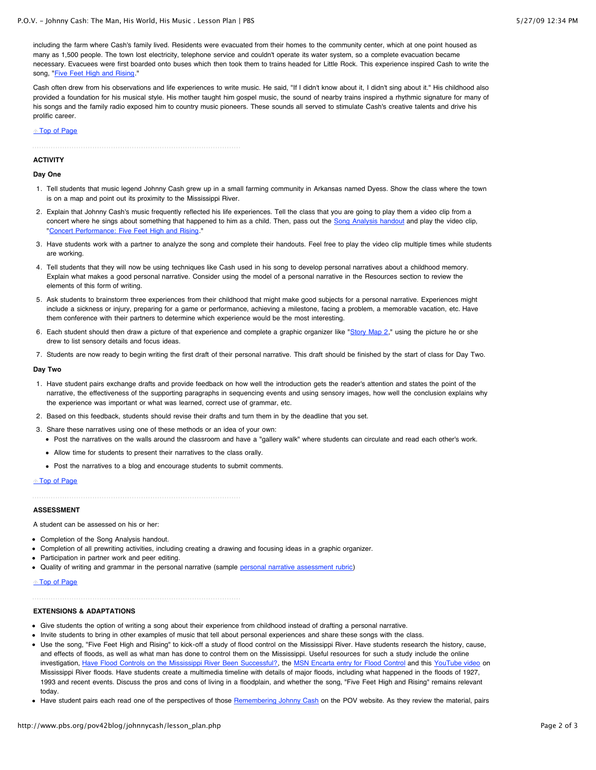including the farm where Cash's family lived. Residents were evacuated from their homes to the community center, which at one point housed as many as 1,500 people. The town lost electricity, telephone service and couldn't operate its water system, so a complete evacuation became necessary. Evacuees were first boarded onto buses which then took them to trains headed for Little Rock. This experience inspired Cash to write the song, "**[Five Feet High and Rising.](http://www.pbs.org/pov42blog/johnnycash/video_classroom1.php)**"

Cash often drew from his observations and life experiences to write music. He said, "If I didn't know about it, I didn't sing about it." His childhood also provided a foundation for his musical style. His mother taught him gospel music, the sound of nearby trains inspired a rhythmic signature for many of his songs and the family radio exposed him to country music pioneers. These sounds all served to stimulate Cash's creative talents and drive his prolific career.

#### ↑ [Top of Page](http://www.pbs.org/pov42blog/johnnycash/lesson_plan.php#top)

# **ACTIVITY**

# **Day One**

- 1. Tell students that music legend Johnny Cash grew up in a small farming community in Arkansas named Dyess. Show the class where the town is on a map and point out its proximity to the Mississippi River.
- 2. Explain that Johnny Cash's music frequently reflected his life experiences. Tell the class that you are going to play them a video clip from a concert where he sings about something that happened to him as a child. Then, pass out the [Song Analysis handout](http://www.pbs.org/pov42blog/pdf/johnnycash/pov_johnnycash_handout.pdf) and play the video clip, "[Concert Performance: Five Feet High and Rising.](http://www.pbs.org/pov42blog/johnnycash/video_classroom1.php)"
- 3. Have students work with a partner to analyze the song and complete their handouts. Feel free to play the video clip multiple times while students are working.
- 4. Tell students that they will now be using techniques like Cash used in his song to develop personal narratives about a childhood memory. Explain what makes a good personal narrative. Consider using the model of a personal narrative in the Resources section to review the elements of this form of writing.
- 5. Ask students to brainstorm three experiences from their childhood that might make good subjects for a personal narrative. Experiences might include a sickness or injury, preparing for a game or performance, achieving a milestone, facing a problem, a memorable vacation, etc. Have them conference with their partners to determine which experience would be the most interesting.
- 6. Each student should then draw a picture of that experience and complete a graphic organizer like "[Story Map 2](http://www.eduplace.com/graphicorganizer/pdf/storymap2_eng.pdf)," using the picture he or she drew to list sensory details and focus ideas.
- 7. Students are now ready to begin writing the first draft of their personal narrative. This draft should be finished by the start of class for Day Two.

#### **Day Two**

- 1. Have student pairs exchange drafts and provide feedback on how well the introduction gets the reader's attention and states the point of the narrative, the effectiveness of the supporting paragraphs in sequencing events and using sensory images, how well the conclusion explains why the experience was important or what was learned, correct use of grammar, etc.
- 2. Based on this feedback, students should revise their drafts and turn them in by the deadline that you set.
- 3. Share these narratives using one of these methods or an idea of your own:
	- Post the narratives on the walls around the classroom and have a "gallery walk" where students can circulate and read each other's work.
	- Allow time for students to present their narratives to the class orally.
	- Post the narratives to a blog and encourage students to submit comments.

# ↑ [Top of Page](http://www.pbs.org/pov42blog/johnnycash/lesson_plan.php#top)

# **ASSESSMENT**

A student can be assessed on his or her:

- Completion of the Song Analysis handout.
- Completion of all prewriting activities, including creating a drawing and focusing ideas in a graphic organizer.
- Participation in partner work and peer editing.
- Quality of writing and grammar in the personal narrative (sample [personal narrative assessment rubric\)](http://www.aptoshs.net/%7Empenna/Personal%20Narrative%20Rubric.pdf)

# ↑ [Top of Page](http://www.pbs.org/pov42blog/johnnycash/lesson_plan.php#top)

# **EXTENSIONS & ADAPTATIONS**

- Give students the option of writing a song about their experience from childhood instead of drafting a personal narrative.
- Invite students to bring in other examples of music that tell about personal experiences and share these songs with the class.
- Use the song, "Five Feet High and Rising" to kick-off a study of flood control on the Mississippi River. Have students research the history, cause, and effects of floods, as well as what man has done to control them on the Mississippi. Useful resources for such a study include the online investigation, [Have Flood Controls on the Mississippi River Been Successful?](http://www.classzone.com/books/earth_science/terc/content/investigations/es1308/es1308page01.cfm), the [MSN Encarta entry for Flood Control](http://encarta.msn.com/encyclopedia_761561222/flood_control.html) and this [YouTube video](http://www.youtube.com/watch?v=M8_kGzidFoE&feature=related) on Mississippi River floods. Have students create a multimedia timeline with details of major floods, including what happened in the floods of 1927, 1993 and recent events. Discuss the pros and cons of living in a floodplain, and whether the song, "Five Feet High and Rising" remains relevant today.
- Have student pairs each read one of the perspectives of those [Remembering Johnny Cash](http://www.pbs.org/pov42blog/johnnycash/special.php) on the POV website. As they review the material, pairs